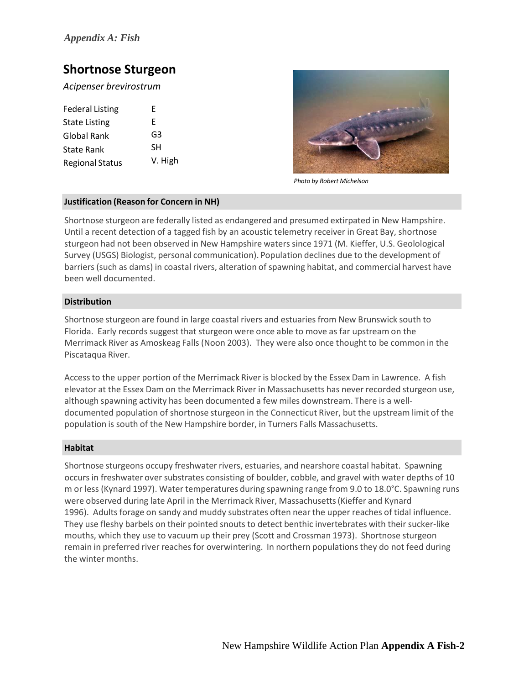# **Shortnose Sturgeon**

*Acipenser brevirostrum*

| <b>Federal Listing</b> | F       |
|------------------------|---------|
| <b>State Listing</b>   | F       |
| Global Rank            | G3      |
| State Rank             | SН      |
| <b>Regional Status</b> | V. High |



*Photo by Robert Michelson*

# **Justification (Reason for Concern in NH)**

Shortnose sturgeon are federally listed as endangered and presumed extirpated in New Hampshire. Until a recent detection of a tagged fish by an acoustic telemetry receiver in Great Bay, shortnose sturgeon had not been observed in New Hampshire waters since 1971 (M. Kieffer, U.S. Geolological Survey (USGS) Biologist, personal communication). Population declines due to the development of barriers(such as dams) in coastal rivers, alteration of spawning habitat, and commercial harvest have been well documented.

# **Distribution**

Shortnose sturgeon are found in large coastal rivers and estuaries from New Brunswick south to Florida. Early records suggest that sturgeon were once able to move as far upstream on the Merrimack River as Amoskeag Falls (Noon 2003). They were also once thought to be common in the Piscataqua River.

Accessto the upper portion of the Merrimack River is blocked by the Essex Dam in Lawrence. A fish elevator at the Essex Dam on the Merrimack River in Massachusetts has never recorded sturgeon use, although spawning activity has been documented a few miles downstream. There is a welldocumented population of shortnose sturgeon in the Connecticut River, but the upstream limit of the population is south of the New Hampshire border, in Turners Falls Massachusetts.

# **Habitat**

Shortnose sturgeons occupy freshwater rivers, estuaries, and nearshore coastal habitat. Spawning occurs in freshwater over substrates consisting of boulder, cobble, and gravel with water depths of 10 m or less (Kynard 1997). Water temperatures during spawning range from 9.0 to 18.0°C. Spawning runs were observed during late April in the Merrimack River, Massachusetts(Kieffer and Kynard 1996). Adults forage on sandy and muddy substrates often near the upper reaches of tidal influence. They use fleshy barbels on their pointed snouts to detect benthic invertebrates with their sucker‐like mouths, which they use to vacuum up their prey (Scott and Crossman 1973). Shortnose sturgeon remain in preferred river reaches for overwintering. In northern populationsthey do not feed during the winter months.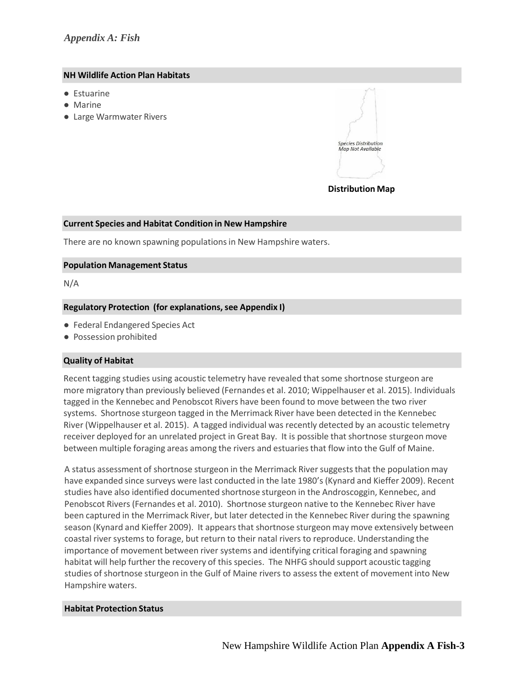# *Appendix A: Fish*

#### **NH Wildlife Action Plan Habitats**

- Estuarine
- Marine
- Large Warmwater Rivers



#### **Distribution Map**

## **Current Species and Habitat Condition in New Hampshire**

There are no known spawning populations in New Hampshire waters.

## **Population Management Status**

N/A

# **Regulatory Protection (for explanations, see Appendix I)**

- Federal Endangered Species Act
- Possession prohibited

# **Quality of Habitat**

Recent tagging studies using acoustic telemetry have revealed that some shortnose sturgeon are more migratory than previously believed (Fernandes et al. 2010; Wippelhauser et al. 2015). Individuals tagged in the Kennebec and Penobscot Rivers have been found to move between the two river systems. Shortnose sturgeon tagged in the Merrimack River have been detected in the Kennebec River (Wippelhauser et al. 2015). A tagged individual was recently detected by an acoustic telemetry receiver deployed for an unrelated project in Great Bay. It is possible that shortnose sturgeon move between multiple foraging areas among the rivers and estuariesthat flow into the Gulf of Maine.

A status assessment of shortnose sturgeon in the Merrimack River suggests that the population may have expanded since surveys were last conducted in the late 1980's (Kynard and Kieffer 2009). Recent studies have also identified documented shortnose sturgeon in the Androscoggin, Kennebec, and Penobscot Rivers (Fernandes et al. 2010). Shortnose sturgeon native to the Kennebec River have been captured in the Merrimack River, but later detected in the Kennebec River during the spawning season (Kynard and Kieffer 2009). It appears that shortnose sturgeon may move extensively between coastal river systems to forage, but return to their natal rivers to reproduce. Understanding the importance of movement between river systems and identifying critical foraging and spawning habitat will help further the recovery of this species. The NHFG should support acoustic tagging studies of shortnose sturgeon in the Gulf of Maine rivers to assess the extent of movement into New Hampshire waters.

#### **Habitat Protection Status**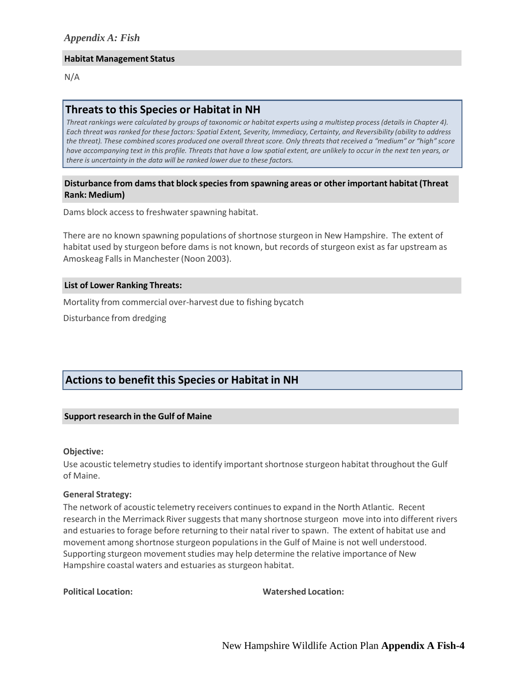#### **Habitat Management Status**

N/A

# **Threatsto this Species or Habitat in NH**

Threat rankings were calculated by groups of taxonomic or habitat experts using a multistep process (details in Chapter 4). Each threat was ranked for these factors: Spatial Extent, Severity, Immediacy, Certainty, and Reversibility (ability to address the threat). These combined scores produced one overall threat score. Only threats that received a "medium" or "high" score have accompanying text in this profile. Threats that have a low spatial extent, are unlikely to occur in the next ten years, or *there is uncertainty in the data will be ranked lower due to these factors.*

## **Disturbance from damsthat block species from spawning areas or other important habitat (Threat Rank: Medium)**

Dams block access to freshwater spawning habitat.

There are no known spawning populations of shortnose sturgeon in New Hampshire. The extent of habitat used by sturgeon before dams is not known, but records of sturgeon exist as far upstream as Amoskeag Falls in Manchester(Noon 2003).

#### **List of Lower Ranking Threats:**

Mortality from commercial over‐harvest due to fishing bycatch

Disturbance from dredging

# **Actionsto benefit this Species or Habitat in NH**

#### **Support research in the Gulf of Maine**

#### **Objective:**

Use acoustic telemetry studies to identify important shortnose sturgeon habitat throughout the Gulf of Maine.

## **General Strategy:**

The network of acoustic telemetry receivers continuesto expand in the North Atlantic. Recent research in the Merrimack River suggests that many shortnose sturgeon move into into different rivers and estuaries to forage before returning to their natal river to spawn. The extent of habitat use and movement among shortnose sturgeon populationsin the Gulf of Maine is not well understood. Supporting sturgeon movement studies may help determine the relative importance of New Hampshire coastal waters and estuaries as sturgeon habitat.

**Political Location: Watershed Location:**